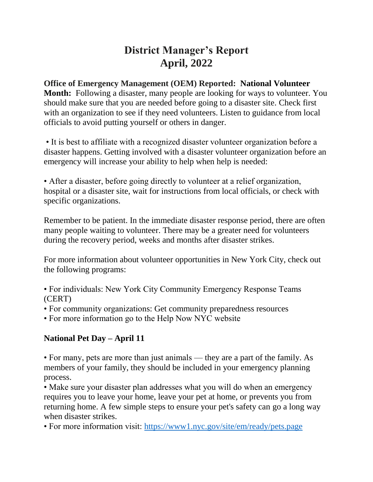# **District Manager's Report April, 2022**

## **Office of Emergency Management (OEM) Reported: National Volunteer**

**Month:** Following a disaster, many people are looking for ways to volunteer. You should make sure that you are needed before going to a disaster site. Check first with an organization to see if they need volunteers. Listen to guidance from local officials to avoid putting yourself or others in danger.

• It is best to affiliate with a recognized disaster volunteer organization before a disaster happens. Getting involved with a disaster volunteer organization before an emergency will increase your ability to help when help is needed:

• After a disaster, before going directly to volunteer at a relief organization, hospital or a disaster site, wait for instructions from local officials, or check with specific organizations.

Remember to be patient. In the immediate disaster response period, there are often many people waiting to volunteer. There may be a greater need for volunteers during the recovery period, weeks and months after disaster strikes.

For more information about volunteer opportunities in New York City, check out the following programs:

• For individuals: New York City Community Emergency Response Teams (CERT)

• For community organizations: Get community preparedness resources

• For more information go to the Help Now NYC website

# **National Pet Day – April 11**

• For many, pets are more than just animals — they are a part of the family. As members of your family, they should be included in your emergency planning process.

• Make sure your disaster plan addresses what you will do when an emergency requires you to leave your home, leave your pet at home, or prevents you from returning home. A few simple steps to ensure your pet's safety can go a long way when disaster strikes.

• For more information visit:<https://www1.nyc.gov/site/em/ready/pets.page>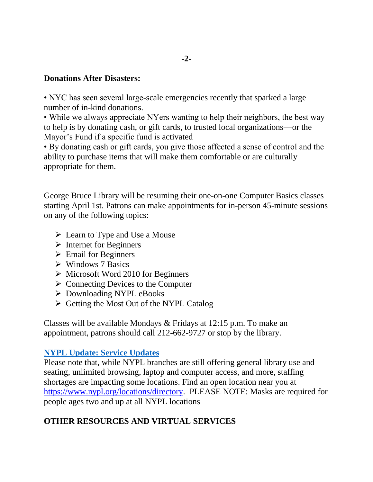#### **Donations After Disasters:**

• NYC has seen several large-scale emergencies recently that sparked a large number of in-kind donations.

• While we always appreciate NYers wanting to help their neighbors, the best way to help is by donating cash, or gift cards, to trusted local organizations—or the Mayor's Fund if a specific fund is activated

• By donating cash or gift cards, you give those affected a sense of control and the ability to purchase items that will make them comfortable or are culturally appropriate for them.

George Bruce Library will be resuming their one-on-one Computer Basics classes starting April 1st. Patrons can make appointments for in-person 45-minute sessions on any of the following topics:

- $\triangleright$  Learn to Type and Use a Mouse
- $\triangleright$  Internet for Beginners
- $\triangleright$  Email for Beginners
- $\triangleright$  Windows 7 Basics
- $\triangleright$  Microsoft Word 2010 for Beginners
- $\triangleright$  Connecting Devices to the Computer
- Downloading NYPL eBooks
- $\triangleright$  Getting the Most Out of the NYPL Catalog

Classes will be available Mondays & Fridays at 12:15 p.m. To make an appointment, patrons should call 212-662-9727 or stop by the library.

## **NYPL Update: Service [Updates](https://gcc02.safelinks.protection.outlook.com/?url=https%3A%2F%2Fwww.nypl.org%2Flocations%2Fdirectory&data=04%7C01%7Ceprince%40cb.nyc.gov%7Ccaa37ed65c9c4b4e408708d9fdffeed4%7C32f56fc75f814e22a95b15da66513bef%7C0%7C0%7C637820098102287570%7CUnknown%7CTWFpbGZsb3d8eyJWIjoiMC4wLjAwMDAiLCJQIjoiV2luMzIiLCJBTiI6Ik1haWwiLCJXVCI6Mn0%3D%7C3000&sdata=5h%2Bbd%2BYOPUQe82BmydElmwwopetHXZZrxCAMznG%2Bhfk%3D&reserved=0)**

Please note that, while NYPL branches are still offering general library use and seating, unlimited browsing, laptop and computer access, and more, staffing shortages are impacting some locations. Find an open location near you at [https://www.nypl.org/locations/directory.](https://www.nypl.org/locations/directory) PLEASE NOTE: Masks are required for people ages two and up at all NYPL locations

# **OTHER RESOURCES AND VIRTUAL SERVICES**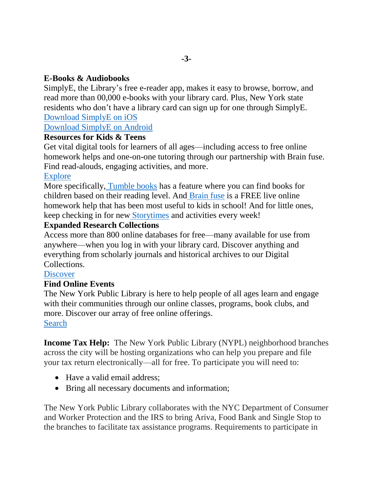## **E-Books & Audiobooks**

SimplyE, the Library's free e-reader app, makes it easy to browse, borrow, and read more than 00,000 e-books with your library card. Plus, New York state residents who don't have a library card can sign up for one through SimplyE. [Download](https://gcc02.safelinks.protection.outlook.com/?url=https%3A%2F%2Fapps.apple.com%2Fapp%2Fapple-store%2Fid1046583900%3Futm_campaign%3DNYPLConnect%26utm_content%3DNYPLConnect_20200818%26utm_medium%3Demail%26utm_source%3DeNewsletter&data=04%7C01%7Ceprince%40cb.nyc.gov%7Ccaa37ed65c9c4b4e408708d9fdffeed4%7C32f56fc75f814e22a95b15da66513bef%7C0%7C0%7C637820098102287570%7CUnknown%7CTWFpbGZsb3d8eyJWIjoiMC4wLjAwMDAiLCJQIjoiV2luMzIiLCJBTiI6Ik1haWwiLCJXVCI6Mn0%3D%7C3000&sdata=%2Fp8z1eiS8Kz8aM5xGCrbHkAsmNa1X3xpO%2BBzokuckL4%3D&reserved=0) SimplyE on iOS

## [Download](https://gcc02.safelinks.protection.outlook.com/?url=https%3A%2F%2Fplay.google.com%2Fstore%2Fapps%2Fdetails%3Fid%3Dorg.nypl.simplified.simplye%26utm_source%253DeNewsletter%26utm_medium%253Demail%26utm_campaign%253DNYPLConnect&data=04%7C01%7Ceprince%40cb.nyc.gov%7Ccaa37ed65c9c4b4e408708d9fdffeed4%7C32f56fc75f814e22a95b15da66513bef%7C0%7C0%7C637820098102287570%7CUnknown%7CTWFpbGZsb3d8eyJWIjoiMC4wLjAwMDAiLCJQIjoiV2luMzIiLCJBTiI6Ik1haWwiLCJXVCI6Mn0%3D%7C3000&sdata=oFmasjftaBGMqsqH7ye0sPJqsm%2BK655c2H1Wn16x7bA%3D&reserved=0) SimplyE on Android

## **Resources for Kids & Teens**

Get vital digital tools for learners of all ages—including access to free online homework helps and one-on-one tutoring through our partnership with Brain fuse. Find read-alouds, engaging activities, and more.

## [Explore](https://gcc02.safelinks.protection.outlook.com/?url=https%3A%2F%2Fwww.nypl.org%2Fabout%2Fremote-resources%2Fkids-and-teens%3Futm_source%3DeNewsletter%26utm_medium%3Demail%26utm_content%3DNYPLConnect_20200818%26utm_campaign%3DNYPLConnect&data=04%7C01%7Ceprince%40cb.nyc.gov%7Ccaa37ed65c9c4b4e408708d9fdffeed4%7C32f56fc75f814e22a95b15da66513bef%7C0%7C0%7C637820098102287570%7CUnknown%7CTWFpbGZsb3d8eyJWIjoiMC4wLjAwMDAiLCJQIjoiV2luMzIiLCJBTiI6Ik1haWwiLCJXVCI6Mn0%3D%7C3000&sdata=ESYOzA6Vt6lzHYAJomjILNI6bR%2BaO2W2220hyCcImQQ%3D&reserved=0)

More specifically, [Tumble](https://gcc02.safelinks.protection.outlook.com/?url=https%3A%2F%2Fwww.nypl.org%2Fcollections%2Farticles-databases%2Ftumblebooks&data=04%7C01%7Ceprince%40cb.nyc.gov%7Ccaa37ed65c9c4b4e408708d9fdffeed4%7C32f56fc75f814e22a95b15da66513bef%7C0%7C0%7C637820098102287570%7CUnknown%7CTWFpbGZsb3d8eyJWIjoiMC4wLjAwMDAiLCJQIjoiV2luMzIiLCJBTiI6Ik1haWwiLCJXVCI6Mn0%3D%7C3000&sdata=P2kpxdxg8THIOU%2F2kRzoHBWcwD%2BsufWqxYwgiyQvxJc%3D&reserved=0) books has a feature where you can find books for children based on their reading level. And [Brain](https://gcc02.safelinks.protection.outlook.com/?url=https%3A%2F%2Fwww.nypl.org%2Fabout%2Fremote-resources%2Fkids-and-teens%2Fhomework-help-brainfuse&data=04%7C01%7Ceprince%40cb.nyc.gov%7Ccaa37ed65c9c4b4e408708d9fdffeed4%7C32f56fc75f814e22a95b15da66513bef%7C0%7C0%7C637820098102287570%7CUnknown%7CTWFpbGZsb3d8eyJWIjoiMC4wLjAwMDAiLCJQIjoiV2luMzIiLCJBTiI6Ik1haWwiLCJXVCI6Mn0%3D%7C3000&sdata=3Yj5vyEgCObVFr7mwE5ZygKkTN%2BeJF%2BnHTHpP2ConbQ%3D&reserved=0) fuse is a FREE live online homework help that has been most useful to kids in school! And for little ones, keep checking in for new [Storytimes](https://gcc02.safelinks.protection.outlook.com/?url=https%3A%2F%2Fwww.nypl.org%2Feducation%2Fkids%2Fstorytime&data=04%7C01%7Ceprince%40cb.nyc.gov%7Ccaa37ed65c9c4b4e408708d9fdffeed4%7C32f56fc75f814e22a95b15da66513bef%7C0%7C0%7C637820098102287570%7CUnknown%7CTWFpbGZsb3d8eyJWIjoiMC4wLjAwMDAiLCJQIjoiV2luMzIiLCJBTiI6Ik1haWwiLCJXVCI6Mn0%3D%7C3000&sdata=s2e2RqXpn%2BhxtoyYOUToURpBOlo6M67MF7qaCEkx%2Fhs%3D&reserved=0) and activities every week!

## **Expanded Research Collections**

Access more than 800 online databases for free—many available for use from anywhere—when you log in with your library card. Discover anything and everything from scholarly journals and historical archives to our Digital Collections.

#### **[Discover](https://gcc02.safelinks.protection.outlook.com/?url=https%3A%2F%2Fwww.nypl.org%2Fabout%2Fremote-research-resources%3Futm_source%3DeNewsletter%26utm_medium%3Demail%26utm_content%3DNYPLConnect_20200818%26utm_campaign%3DNYPLConnect&data=04%7C01%7Ceprince%40cb.nyc.gov%7Ccaa37ed65c9c4b4e408708d9fdffeed4%7C32f56fc75f814e22a95b15da66513bef%7C0%7C0%7C637820098102287570%7CUnknown%7CTWFpbGZsb3d8eyJWIjoiMC4wLjAwMDAiLCJQIjoiV2luMzIiLCJBTiI6Ik1haWwiLCJXVCI6Mn0%3D%7C3000&sdata=Hn%2Fnv%2Bgn7uC7xVf5f5t9fShP8oVVYCuH0Ck%2BiS5ig0U%3D&reserved=0)**

## **Find Online Events**

The New York Public Library is here to help people of all ages learn and engage with their communities through our online classes, programs, book clubs, and more. Discover our array of free online offerings. [Search](https://gcc02.safelinks.protection.outlook.com/?url=https%3A%2F%2Fwww.nypl.org%2Fevents%2Fcalendar%2Fonline%3Futm_source%3DeNewsletter%26utm_medium%3Demail%26utm_content%3DNYPLConnect_20200818%26utm_campaign%3DNYPLConnect&data=04%7C01%7Ceprince%40cb.nyc.gov%7Ccaa37ed65c9c4b4e408708d9fdffeed4%7C32f56fc75f814e22a95b15da66513bef%7C0%7C0%7C637820098102287570%7CUnknown%7CTWFpbGZsb3d8eyJWIjoiMC4wLjAwMDAiLCJQIjoiV2luMzIiLCJBTiI6Ik1haWwiLCJXVCI6Mn0%3D%7C3000&sdata=LFXWSr6YXZKSCo9BHGxNgs6ccb%2FumjuIghmgeYkEbMw%3D&reserved=0)

**Income Tax Help:** The New York Public Library (NYPL) neighborhood branches across the city will be hosting organizations who can help you prepare and file your tax return electronically—all for free. To participate you will need to:

- Have a valid email address:
- Bring all necessary documents and information;

The New York Public Library collaborates with the NYC Department of Consumer and Worker Protection and the IRS to bring Ariva, Food Bank and Single Stop to the branches to facilitate tax assistance programs. Requirements to participate in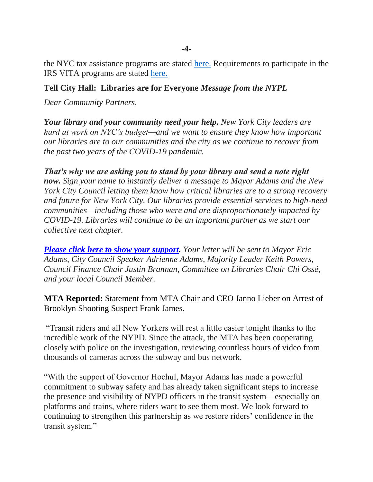the NYC tax assistance programs are stated [here.](https://gcc02.safelinks.protection.outlook.com/?url=http%3A%2F%2Fwww1.nyc.gov%2Fsite%2Fdca%2Fconsumers%2Ffile-your-taxes.page&data=04%7C01%7Ceprince%40cb.nyc.gov%7C2ae56079369a464f33c708da17316e27%7C32f56fc75f814e22a95b15da66513bef%7C0%7C0%7C637847798403215162%7CUnknown%7CTWFpbGZsb3d8eyJWIjoiMC4wLjAwMDAiLCJQIjoiV2luMzIiLCJBTiI6Ik1haWwiLCJXVCI6Mn0%3D%7C3000&sdata=tHled2Jmf%2Bm5Vd5X70GPGY8cPLocHkfRhmNPhYzsiqU%3D&reserved=0) Requirements to participate in the IRS VITA programs are stated [here.](https://gcc02.safelinks.protection.outlook.com/?url=https%3A%2F%2Fwww.irs.gov%2Findividuals%2Ffree-tax-return-preparation-for-you-by-volunteers&data=04%7C01%7Ceprince%40cb.nyc.gov%7C2ae56079369a464f33c708da17316e27%7C32f56fc75f814e22a95b15da66513bef%7C0%7C0%7C637847798403215162%7CUnknown%7CTWFpbGZsb3d8eyJWIjoiMC4wLjAwMDAiLCJQIjoiV2luMzIiLCJBTiI6Ik1haWwiLCJXVCI6Mn0%3D%7C3000&sdata=rpX%2Bo4eWXxMClck937B0Ot7iJWWDFn6mum4NRJ%2Fo3zY%3D&reserved=0)

## **Tell City Hall: Libraries are for Everyone** *Message from the NYPL*

*Dear Community Partners,*

*Your library and your community need your help. New York City leaders are hard at work on NYC's budget—and we want to ensure they know how important our libraries are to our communities and the city as we continue to recover from the past two years of the COVID-19 pandemic.*

*That's why we are asking you to stand by your library and send a note right now. Sign your name to instantly deliver a message to Mayor Adams and the New York City Council letting them know how critical libraries are to a strong recovery and future for New York City. Our libraries provide essential services to high-need communities—including those who were and are disproportionately impacted by COVID-19. Libraries will continue to be an important partner as we start our collective next chapter.*

*[Please click here to show your support.](https://gcc02.safelinks.protection.outlook.com/?url=https%3A%2F%2Fwww.nypl.org%2Fspeakout&data=04%7C01%7Ceprince%40cb.nyc.gov%7C045a0e3a9fdf4c9c44b108da1740282c%7C32f56fc75f814e22a95b15da66513bef%7C0%7C0%7C637847861561707125%7CUnknown%7CTWFpbGZsb3d8eyJWIjoiMC4wLjAwMDAiLCJQIjoiV2luMzIiLCJBTiI6Ik1haWwiLCJXVCI6Mn0%3D%7C3000&sdata=Lsm%2FZ1s15wr9EAhqrvMDb9nm%2FffymOTfJos%2FZcOgGgU%3D&reserved=0) Your letter will be sent to Mayor Eric Adams, City Council Speaker Adrienne Adams, Majority Leader Keith Powers, Council Finance Chair Justin Brannan, Committee on Libraries Chair Chi Ossé, and your local Council Member.*

**MTA Reported:** Statement from MTA Chair and CEO Janno Lieber on Arrest of Brooklyn Shooting Suspect Frank James.

"Transit riders and all New Yorkers will rest a little easier tonight thanks to the incredible work of the NYPD. Since the attack, the MTA has been cooperating closely with police on the investigation, reviewing countless hours of video from thousands of cameras across the subway and bus network.

"With the support of Governor Hochul, Mayor Adams has made a powerful commitment to subway safety and has already taken significant steps to increase the presence and visibility of NYPD officers in the transit system—especially on platforms and trains, where riders want to see them most. We look forward to continuing to strengthen this partnership as we restore riders' confidence in the transit system."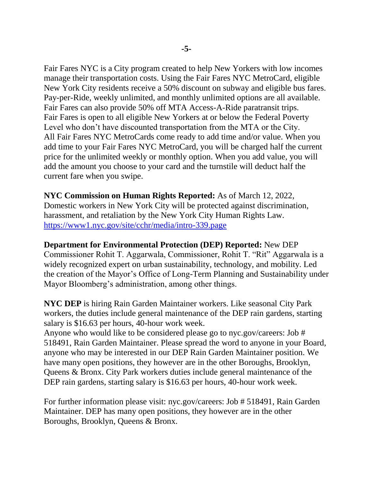Fair Fares NYC is a City program created to help New Yorkers with low incomes manage their transportation costs. Using the Fair Fares NYC MetroCard, eligible New York City residents receive a 50% discount on subway and eligible bus fares. Pay-per-Ride, weekly unlimited, and monthly unlimited options are all available. Fair Fares can also provide 50% off MTA Access-A-Ride paratransit trips. Fair Fares is open to all eligible New Yorkers at or below the Federal Poverty Level who don't have discounted transportation from the MTA or the City. All Fair Fares NYC MetroCards come ready to add time and/or value. When you add time to your Fair Fares NYC MetroCard, you will be charged half the current price for the unlimited weekly or monthly option. When you add value, you will add the amount you choose to your card and the turnstile will deduct half the current fare when you swipe.

**NYC Commission on Human Rights Reported:** As of March 12, 2022, Domestic workers in New York City will be protected against discrimination, harassment, and retaliation by the New York City Human Rights Law. <https://www1.nyc.gov/site/cchr/media/intro-339.page>

**Department for Environmental Protection (DEP) Reported:** New DEP Commissioner Rohit T. Aggarwala, Commissioner, Rohit T. "Rit" Aggarwala is a widely recognized expert on urban sustainability, technology, and mobility. Led the creation of the Mayor's Office of Long-Term Planning and Sustainability under Mayor Bloomberg's administration, among other things.

**NYC DEP** is hiring Rain Garden Maintainer workers. Like seasonal City Park workers, the duties include general maintenance of the DEP rain gardens, starting salary is \$16.63 per hours, 40-hour work week. Anyone who would like to be considered please go to nyc.gov/careers: Job #

518491, Rain Garden Maintainer. Please spread the word to anyone in your Board, anyone who may be interested in our DEP Rain Garden Maintainer position. We have many open positions, they however are in the other Boroughs, Brooklyn, Queens & Bronx. City Park workers duties include general maintenance of the DEP rain gardens, starting salary is \$16.63 per hours, 40-hour work week.

For further information please visit: nyc.gov/careers: Job # 518491, Rain Garden Maintainer. DEP has many open positions, they however are in the other Boroughs, Brooklyn, Queens & Bronx.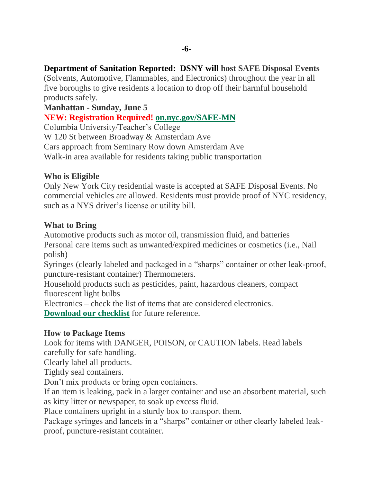## **Department of Sanitation Reported: DSNY will host SAFE Disposal Events**

(Solvents, Automotive, Flammables, and Electronics) throughout the year in all five boroughs to give residents a location to drop off their harmful household products safely.

## **Manhattan - Sunday, June 5**

## **NEW: Registration Required! [on.nyc.gov/SAFE-MN](https://www.eventbrite.com/e/manhattan-safe-disposal-event-registration-262492440957)**

Columbia University/Teacher's College W 120 St between Broadway & Amsterdam Ave Cars approach from Seminary Row down Amsterdam Ave Walk-in area available for residents taking public transportation

## **Who is Eligible**

Only New York City residential waste is accepted at SAFE Disposal Events. No commercial vehicles are allowed. Residents must provide proof of NYC residency, such as a NYS driver's license or utility bill.

## **What to Bring**

Automotive products such as motor oil, transmission fluid, and batteries Personal care items such as unwanted/expired medicines or cosmetics (i.e., Nail polish)

Syringes (clearly labeled and packaged in a "sharps" container or other leak-proof, puncture-resistant container) Thermometers.

Household products such as pesticides, paint, hazardous cleaners, compact fluorescent light bulbs

Electronics – check the list of items that are considered electronics.

**[Download our checklist](https://dsny.cityofnewyork.us/wp-content/uploads/2021/06/Special-Waste_How-To-Dispose-Flyer-june21.pdf)** for future reference.

## **How to Package Items**

Look for items with DANGER, POISON, or CAUTION labels. Read labels carefully for safe handling.

Clearly label all products.

Tightly seal containers.

Don't mix products or bring open containers.

If an item is leaking, pack in a larger container and use an absorbent material, such as kitty litter or newspaper, to soak up excess fluid.

Place containers upright in a sturdy box to transport them.

Package syringes and lancets in a "sharps" container or other clearly labeled leakproof, puncture-resistant container.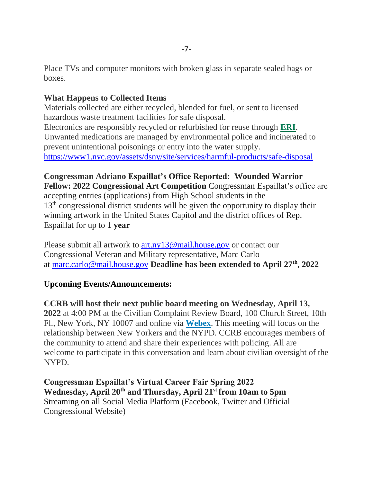Place TVs and computer monitors with broken glass in separate sealed bags or boxes.

## **What Happens to Collected Items**

Materials collected are either recycled, blended for fuel, or sent to licensed hazardous waste treatment facilities for safe disposal. Electronics are responsibly recycled or refurbished for reuse through **[ERI](https://eridirect.com/)**. Unwanted medications are managed by environmental police and incinerated to prevent unintentional poisonings or entry into the water supply. <https://www1.nyc.gov/assets/dsny/site/services/harmful-products/safe-disposal>

**Congressman Adriano Espaillat's Office Reported: Wounded Warrior Fellow: 2022 Congressional Art Competition** Congressman Espaillat's office are accepting entries (applications) from High School students in the 13<sup>th</sup> congressional district students will be given the opportunity to display their winning artwork in the United States Capitol and the district offices of Rep. Espaillat for up to **1 year**

Please submit all artwork to [art.ny13@mail.house.gov](mailto:art.ny13@mail.house.gov) or contact our Congressional Veteran and Military representative, Marc Carlo at [marc.carlo@mail.house.gov](mailto:marc.carlo@mail.house.gov) **Deadline has been extended to April 27th, 2022**

## **Upcoming Events/Announcements:**

**CCRB will host their next public board meeting on Wednesday, April 13, 2022** at 4:00 PM at the Civilian Complaint Review Board, 100 Church Street, 10th Fl., New York, NY 10007 and online via **[Webex](https://nycccrb.webex.com/nycccrb/onstage/g.php?MTID=e2faca0ee92112e5dd8193b79f74dbcdf)**. This meeting will focus on the relationship between New Yorkers and the NYPD. CCRB encourages members of the community to attend and share their experiences with policing. All are welcome to participate in this conversation and learn about civilian oversight of the NYPD.

**Congressman Espaillat's Virtual Career Fair Spring 2022 Wednesday, April 20th and Thursday, April 21st from 10am to 5pm** Streaming on all Social Media Platform (Facebook, Twitter and Official Congressional Website)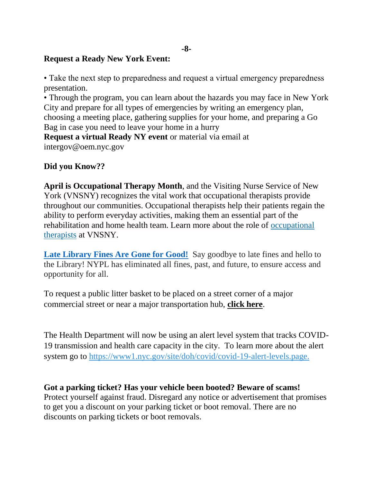## **Request a Ready New York Event:**

• Take the next step to preparedness and request a virtual emergency preparedness presentation.

• Through the program, you can learn about the hazards you may face in New York City and prepare for all types of emergencies by writing an emergency plan, choosing a meeting place, gathering supplies for your home, and preparing a Go Bag in case you need to leave your home in a hurry

**Request a virtual Ready NY event** or material via email at intergov@oem.nyc.gov

## **Did you Know??**

**April is Occupational Therapy Month**, and the Visiting Nurse Service of New York (VNSNY) recognizes the vital work that occupational therapists provide throughout our communities. Occupational therapists help their patients regain the ability to perform everyday activities, making them an essential part of the rehabilitation and home health team. Learn more about the role of [occupational](https://gcc02.safelinks.protection.outlook.com/?url=http%3A%2F%2Fmmlink.vnsny.org%2Fls%2Fclick%3Fupn%3Dvh3-2BAl-2FJGGD0mdmXsBKS6hnDMG8DaPMQdGn3pe9bJ3-2Bm57qFi6v-2BFfh5MI12xVfRrDsZZv0nG0nsoIMv9SghyIrcqanzP4srdfN7y6-2Fa3mtOtnUSdXutAYLcjG36-2Fbvwz9vz1hCkVJCIrFRp9I4ndOA2dzDHSli9elsSS-2B0YaiwaB5qFZGmROyriCUU0qWkNJM4f621S-2FEK4fVhrms6z6w-3D-3DKI7e_-2F42PJCB-2FctjrgIFvh21RBxPTfbYlsmH41f-2BcfskiS98ws5-2BO8LK5UEU5xxICbRPIwcotqzp6Fy-2FZ5q8Mzm3zD2vMXpkew627HFccdzCUlmVyOMF5CJVo-2FkT1cpLBiVnOuAu-2FziNHcH0Ox2sMdnDZx51u8Z4FdMr9KVx0cloU96EKX7bEhhEwPlwJtN-2BKFRkEaDJZIF-2BAFcsLE4XDTcpEIfqm5RGc0tK86lSNTAamqH3LdHxlBMczkBncAFiravySFTJbau12BlbZoHTlMKjIpkcxNd9UcIWYCQcMzBj29II1CmOqX7CTVZHOWSbRS-2FDx4Sb-2BU4prrbiWwcCPPNkc-2FEbFoWmOXQ-2BGJalPnlgfbHJqeLmRwbi7GJD8DOVgAcbUKYUn92qZwXDtHUOZP6NNeyAbo0BLjiFyo3R44TQt1UP42AxVlm0yzfMn7k8T4GB2rQJfsGuxnU-2BJ9M-2B9Daf17CAkX-2Fg6OQcuiVf-2BkPJLpE8QL9EjnKHxObDSMoCZvcdK9NfHuej9ogh4sSagns-2FNSLE1QGpgaIRVP5NvokAZXDxNEhUFIqV308RnNCGvjLEME1-2FbI5zuQwUMBMgQx83GYYWro1u6IiJGt2CcfuqV8FL6eb00ALVdBL6VrcXuWl8YJIIMMdTdIrql7fuVT4k4pKZbz6WqYoxeZIafqTqlGgc-3D&data=04%7C01%7Ceprince%40cb.nyc.gov%7C8aa3c91a1c68470b114208da1bee680d%7C32f56fc75f814e22a95b15da66513bef%7C0%7C0%7C637853008031458778%7CUnknown%7CTWFpbGZsb3d8eyJWIjoiMC4wLjAwMDAiLCJQIjoiV2luMzIiLCJBTiI6Ik1haWwiLCJXVCI6Mn0%3D%7C3000&sdata=AGZWwCAagCzK%2FyNSkfLBPACWU54RTTGD9FvZKRbz22g%3D&reserved=0) [therapists](https://gcc02.safelinks.protection.outlook.com/?url=http%3A%2F%2Fmmlink.vnsny.org%2Fls%2Fclick%3Fupn%3Dvh3-2BAl-2FJGGD0mdmXsBKS6hnDMG8DaPMQdGn3pe9bJ3-2Bm57qFi6v-2BFfh5MI12xVfRrDsZZv0nG0nsoIMv9SghyIrcqanzP4srdfN7y6-2Fa3mtOtnUSdXutAYLcjG36-2Fbvwz9vz1hCkVJCIrFRp9I4ndOA2dzDHSli9elsSS-2B0YaiwaB5qFZGmROyriCUU0qWkNJM4f621S-2FEK4fVhrms6z6w-3D-3DKI7e_-2F42PJCB-2FctjrgIFvh21RBxPTfbYlsmH41f-2BcfskiS98ws5-2BO8LK5UEU5xxICbRPIwcotqzp6Fy-2FZ5q8Mzm3zD2vMXpkew627HFccdzCUlmVyOMF5CJVo-2FkT1cpLBiVnOuAu-2FziNHcH0Ox2sMdnDZx51u8Z4FdMr9KVx0cloU96EKX7bEhhEwPlwJtN-2BKFRkEaDJZIF-2BAFcsLE4XDTcpEIfqm5RGc0tK86lSNTAamqH3LdHxlBMczkBncAFiravySFTJbau12BlbZoHTlMKjIpkcxNd9UcIWYCQcMzBj29II1CmOqX7CTVZHOWSbRS-2FDx4Sb-2BU4prrbiWwcCPPNkc-2FEbFoWmOXQ-2BGJalPnlgfbHJqeLmRwbi7GJD8DOVgAcbUKYUn92qZwXDtHUOZP6NNeyAbo0BLjiFyo3R44TQt1UP42AxVlm0yzfMn7k8T4GB2rQJfsGuxnU-2BJ9M-2B9Daf17CAkX-2Fg6OQcuiVf-2BkPJLpE8QL9EjnKHxObDSMoCZvcdK9NfHuej9ogh4sSagns-2FNSLE1QGpgaIRVP5NvokAZXDxNEhUFIqV308RnNCGvjLEME1-2FbI5zuQwUMBMgQx83GYYWro1u6IiJGt2CcfuqV8FL6eb00ALVdBL6VrcXuWl8YJIIMMdTdIrql7fuVT4k4pKZbz6WqYoxeZIafqTqlGgc-3D&data=04%7C01%7Ceprince%40cb.nyc.gov%7C8aa3c91a1c68470b114208da1bee680d%7C32f56fc75f814e22a95b15da66513bef%7C0%7C0%7C637853008031458778%7CUnknown%7CTWFpbGZsb3d8eyJWIjoiMC4wLjAwMDAiLCJQIjoiV2luMzIiLCJBTiI6Ik1haWwiLCJXVCI6Mn0%3D%7C3000&sdata=AGZWwCAagCzK%2FyNSkfLBPACWU54RTTGD9FvZKRbz22g%3D&reserved=0) at VNSNY.

**Late Library [Fines Are Gone for Good!](https://gcc02.safelinks.protection.outlook.com/?url=https%3A%2F%2Fwww.nypl.org%2Ffines&data=04%7C01%7Ceprince%40cb.nyc.gov%7C2ae56079369a464f33c708da17316e27%7C32f56fc75f814e22a95b15da66513bef%7C0%7C0%7C637847798403215162%7CUnknown%7CTWFpbGZsb3d8eyJWIjoiMC4wLjAwMDAiLCJQIjoiV2luMzIiLCJBTiI6Ik1haWwiLCJXVCI6Mn0%3D%7C3000&sdata=Hh9dk7FBVsHCpkA6VHCHzbUMVwluPD%2FbJFxcKnGbEr8%3D&reserved=0)** Say goodbye to late fines and hello to the Library! NYPL has eliminated all fines, past, and future, to ensure access and opportunity for all.

To request a public litter basket to be placed on a street corner of a major commercial street or near a major transportation hub, **[click here](https://click.everyaction.com/k/44184044/340456355/898317669?nvep=ew0KICAiVGVuYW50VXJpIjogIm5ncHZhbjovL3Zhbi9FQS9FQTAwNi8xLzg2OTc2IiwNCiAgIkRpc3RyaWJ1dGlvblVuaXF1ZUlkIjogImQ3N2FiY2E0LWY2YmMtZWMxMS05OTdlLTI4MTg3OGI4M2Q4YSIsDQogICJFbWFpbEFkZHJlc3MiOiAiZXByaW5jZUBjYjltLm9yZyINCn0%3D&hmac=gepw-Z_cDESR1UN9ZIg3oUQw1EDM-8RwJbUpoYbKLBQ=&emci=1d2579a9-f7bb-ec11-997e-281878b83d8a&emdi=d77abca4-f6bc-ec11-997e-281878b83d8a&ceid=4284574)**.

The Health Department will now be using an alert level system that tracks COVID-19 transmission and health care capacity in the city. To learn more about the alert system go to [https://www1.nyc.gov/site/doh/covid/covid-19-alert-levels.page.](https://click.everyaction.com/k/44184046/340456357/-199829468?nvep=ew0KICAiVGVuYW50VXJpIjogIm5ncHZhbjovL3Zhbi9FQS9FQTAwNi8xLzg2OTc2IiwNCiAgIkRpc3RyaWJ1dGlvblVuaXF1ZUlkIjogImQ3N2FiY2E0LWY2YmMtZWMxMS05OTdlLTI4MTg3OGI4M2Q4YSIsDQogICJFbWFpbEFkZHJlc3MiOiAiZXByaW5jZUBjYjltLm9yZyINCn0%3D&hmac=gepw-Z_cDESR1UN9ZIg3oUQw1EDM-8RwJbUpoYbKLBQ=&emci=1d2579a9-f7bb-ec11-997e-281878b83d8a&emdi=d77abca4-f6bc-ec11-997e-281878b83d8a&ceid=4284574)

## **Got a parking ticket? Has your vehicle been booted? Beware of scams!**

Protect yourself against fraud. Disregard any notice or advertisement that promises to get you a discount on your parking ticket or boot removal. There are no discounts on parking tickets or boot removals.